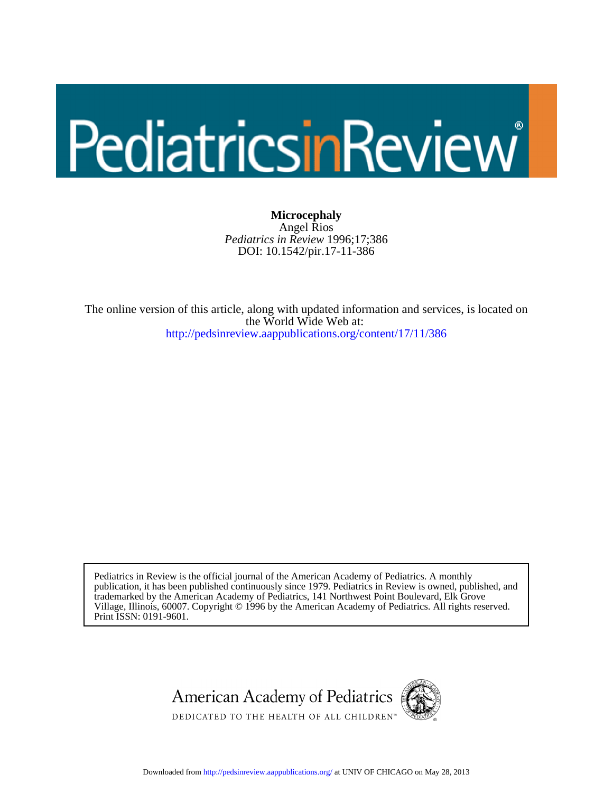# PediatricsinReview

DOI: 10.1542/pir.17-11-386 *Pediatrics in Review* 1996;17;386 Angel Rios **Microcephaly**

<http://pedsinreview.aappublications.org/content/17/11/386> the World Wide Web at: The online version of this article, along with updated information and services, is located on

Print ISSN: 0191-9601. Village, Illinois, 60007. Copyright © 1996 by the American Academy of Pediatrics. All rights reserved. trademarked by the American Academy of Pediatrics, 141 Northwest Point Boulevard, Elk Grove publication, it has been published continuously since 1979. Pediatrics in Review is owned, published, and Pediatrics in Review is the official journal of the American Academy of Pediatrics. A monthly





DEDICATED TO THE HEALTH OF ALL CHILDREN™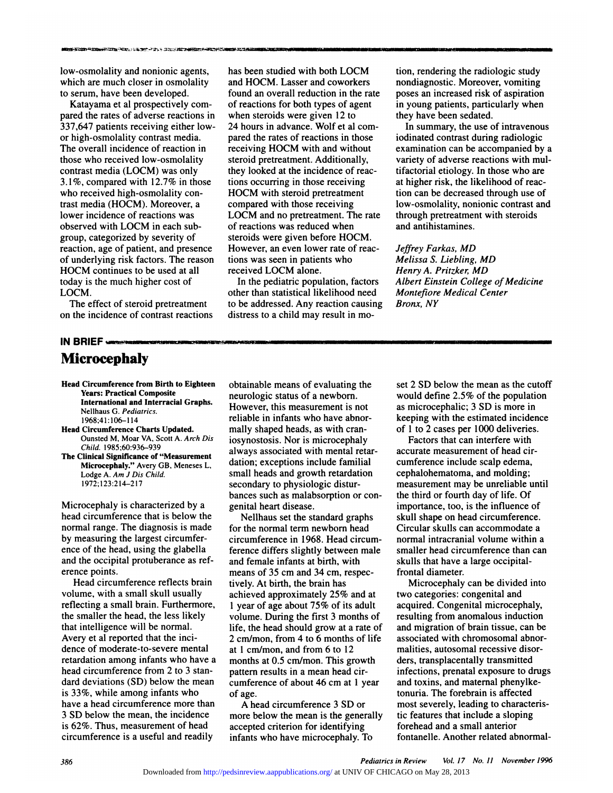**Low-of-Contract Construction**<br>low-osmolality and nonionic agents,<br>which are much closer in osmolality Now-osmolality and nonionic agents,<br>which are much closer in osmolality<br>to serum, have been developed. to serve the serves of the serves of the serves of the served of the served of the served of the served of the served of the served of the served of the served of the served of the served of the served of the served of the w-osmolality and nonionic agents,<br>nich are much closer in osmolality<br>serum, have been developed.<br>Katayama et al prospectively com<br>red the rates of adverse reactions

have-osmolality and nonionic agents,<br>which are much closer in osmolality and<br>to serum, have been developed. fou<br>Katayama et al prospectively com-<br>pared the rates of adverse reactions in who<br>337,647 patients receiving eithe which are much closer in osmolality<br>to serum, have been developed.<br>Katayama et al prospectively com-<br>pared the rates of adverse reactions in<br>337,647 patients receiving either low-<br>or high-osmolality contrast media. to serum, have been developed.<br>Katayama et al prospectively con<br>pared the rates of adverse reactions<br>337,647 patients receiving either loo<br>or high-osmolality contrast media.<br>The overall incidence of reaction in Katayama et al prospectively com-<br>pared the rates of adverse reactions in<br>337,647 patients receiving either low-<br>or high-osmolality contrast media.<br>The overall incidence of reaction in<br>those who received low-osmolality<br>si 337,647 patients receiving either low-<br>or high-osmolality contrast media.<br>The overall incidence of reaction in<br>those who received low-osmolality<br>contrast media (LOCM) was only 337,647 patients receiving either low-<br>or high-osmolality contrast media.<br>The overall incidence of reaction in<br>those who received low-osmolality<br>contrast media (LOCM) was only<br>3.1%, compared with 12.7% in those or high-osmolality contrast media.<br>The overall incidence of reaction in<br>those who received low-osmolality<br>contrast media (LOCM) was only<br>3.1%, compared with 12.7% in those<br>who received high-osmolality con-The overall incidence of reaction is<br>those who received low-osmolality<br>contrast media (LOCM) was only<br>3.1%, compared with 12.7% in tho<br>who received high-osmolality con-<br>trast media (HOCM). Moreover, a those who received low-osmolality<br>contrast media (LOCM) was only<br>3.1%, compared with 12.7% in those<br>who received high-osmolality con-<br>trast media (HOCM). Moreover, a<br>lower incidence of reactions was contrast media (LOCM) was only<br>3.1%, compared with 12.7% in those<br>who received high-osmolality con-<br>trast media (HOCM). Moreover, a<br>lower incidence of reactions was<br>observed with LOCM in each sub-3.1%, compared with 12.7% in the<br>who received high-osmolality con-<br>trast media (HOCM). Moreover, a<br>lower incidence of reactions was<br>observed with LOCM in each sub-<br>group, categorized by severity of who received high-osmolality contrast media (HOCM). Moreover, a<br>lower incidence of reactions was<br>observed with LOCM in each sub-<br>group, categorized by severity of<br>reaction, age of patient, and presence trast media (HOCM). Moreover, a<br>lower incidence of reactions was<br>observed with LOCM in each sub-<br>group, categorized by severity of<br>reaction, age of patient, and presence<br>of underlying risk factors. The reason lower incidence of reactions was<br>
observed with LOCM in each sub-<br>
group, categorized by severity of<br>
reaction, age of patient, and presence<br>
of underlying risk factors. The reason<br>
HOCM continues to be used at all<br>
re observed with LOCM in each subgroup, categorized by severity of<br>reaction, age of patient, and presence<br>of underlying risk factors. The reasor<br>HOCM continues to be used at all<br>today is the much higher cost of group, categorized by severity of<br>reaction, age of patient, and presence<br>of underlying risk factors. The reaso<br>HOCM continues to be used at all<br>today is the much higher cost of<br>LOCM. **LOCM.** of underlying risk factors. The reason<br>HOCM continues to be used at all<br>today is the much higher cost of<br>LOCM.<br>The effect of steroid pretreatment<br>on the incidence of contrast reactions

**IDENTS IS THE MUCH AT LOCM.**<br>
The effect of sterm<br>
on the incidence of<br> **IN BRIEF**<br> **Microcenhal** 

## **Microcephaly**

- **Head Circumference from Birth to Eighteen**<br> **Head Circumference from Birth to Eighteen**<br>
Years: Practical Composite<br>
International and Interracial Graphs. **International and Interracial Graphs.**<br>
International and Interracial Graphs.<br>
Nellhaus G. *Pediatrics.*<br>
1968;41:106-114<br> **Head Circumference Charts Updated.**<br>
Ounsted M, Moar VA, Scott A. Arch Dis
- International and Interracial Graphs.<br>
Nellhaus G. *Pediatrics*.<br>
1968;41:106–114<br>
Head Circumference Charts Updated.<br>
Ounsted M, Moar VA, Scott A. *Arch Dis*<br> *Child.* 1985;60:936–939<br>
The Clinical Significance of "Measur
- **The Clinical Significance of Significance Of Significance Of Significance of the Clusted M, Moar VA, Scott A. Arch Displement**<br> **Child. 1985;60:936–939**<br> **Child. 1985;60:936–939**<br> **The Clinical Significance of "Measuremen** Ounsted M, Moar VA, Scot<br>*Child.* 1985;60:936–939<br>**Microcephaly."** Avery GB<br>**Microcephaly."** Avery GB<br>Lodge A. Am J Dis Child.<br>1972;123:214–217 Incorpor Microcephaly." Avery GB, Meneses L,<br>Lodge A. Am J Dis Child.<br>1972;123:214–217<br>Microcephaly is characterized by a<br>head circumference that is below the

Lodge A. Am J Dis Child.<br>
1972;123:214–217<br>
Microcephaly is characterized by a<br>
head circumference that is below the<br>
normal range. The diagnosis is made 1972;123:214–217<br>
Microcephaly is characterized by a<br>
head circumference that is below the<br>
normal range. The diagnosis is made<br>
by measuring the largest circumfer-Microcephaly is characterized b<br>head circumference that is belov<br>normal range. The diagnosis is is<br>by measuring the largest circum<br>ence of the head, using the glab Microcephaly is characterized by a<br>head circumference that is below the<br>normal range. The diagnosis is made<br>by measuring the largest circumfer-<br>ence of the head, using the glabella<br>and the occipital protuberance as refhead circumference that is below the<br>normal range. The diagnosis is made<br>by measuring the largest circumfer-<br>ence of the head, using the glabella<br>and the occipital protuberance as ref-<br>erence points. normal range. The diagnosis is made<br>by measuring the largest circumfer-<br>ence of the head, using the glabella<br>and the occipital protuberance as ref-<br>erence points.<br>Head circumference reflects brain<br>volume, with a small skul measuring the largest circumfer-<br>
e of the head, using the glabella<br>
d the occipital protuberance as ref-<br>
nce points.<br>
Head circumference reflects brain<br>
tiume, with a small skull usually

ence of the head, using the glabella<br>and the occipital protuberance as ref-<br>erence points.<br>Head circumference reflects brain<br>volume, with a small skull usually<br>reflecting a small brain. Furthermore, and the occipital protuberance as ref<br>erence points.<br>Head circumference reflects brain<br>volume, with a small skull usually<br>reflecting a small brain. Furthermore<br>the smaller the head, the less likely erence points.<br>
Head circumference reflects brain<br>
volume, with a small skull usually<br>
reflecting a small brain. Furthermore,<br>
the smaller the head, the less likely<br>
that intelligence will be normal. Head circumference reflects b<br>volume, with a small skull usuall<br>reflecting a small brain. Furthern<br>the smaller the head, the less like<br>that intelligence will be normal.<br>Avery et al reported that the incivolume, with a small skull usuall<br>reflecting a small brain. Furthern<br>the smaller the head, the less like<br>that intelligence will be normal.<br>Avery et al reported that the inci-<br>dence of moderate-to-severe mer reflecting a small brain. Furthermore,<br>the smaller the head, the less likely<br>that intelligence will be normal.<br>Avery et al reported that the inci-<br>dence of moderate-to-severe mental<br>retardation among infants who have a the smaller the head, the less likely<br>that intelligence will be normal. life<br>Avery et al reported that the inci-<br>dence of moderate-to-severe mental<br>retardation among infants who have a mo<br>head circumference from 2 to 3 st that intelligence will be normal.<br>Avery et al reported that the inci-<br>dence of moderate-to-severe mental<br>retardation among infants who have<br>head circumference from 2 to 3 stan-<br>dard deviations (SD) below the mea Avery et al reported that the inci-<br>dence of moderate-to-severe mental<br>retardation among infants who have a<br>head circumference from 2 to 3 stan-<br>dard deviations (SD) below the mean<br>is 33%, while among infants who<br>of dence of moderate-to-severe mental<br>retardation among infants who have a<br>head circumference from 2 to 3 stan-<br>dard deviations (SD) below the mean<br>is 33%, while among infants who<br>have a head circumference more than retardation among infants who have a<br>head circumference from 2 to 3 stan-<br>dard deviations (SD) below the mean<br>is 33%, while among infants who<br>have a head circumference more than<br>3 SD below the mean, the incidence head circumference from 2 to 3 stan-<br>dard deviations (SD) below the mean<br>is 33%, while among infants who<br>have a head circumference more than<br>3 SD below the mean, the incidence<br>is 62%. Thus, measurement of head dard deviations (SD) below the mean<br>is 33%, while among infants who<br>have a head circumference more than<br>3 SD below the mean, the incidence<br>is 62%. Thus, measurement of head<br>circumference is a useful and readily is 33%, while among infants who<br>have a head circumference more than<br>3 SD below the mean, the incidence<br>is 62%. Thus, measurement of head<br>circumference is a useful and readily<br>i

has been studied with both LOCM ion, rendering the radiologic study<br>and HOCM. Lasser and coworkers nondiagnostic. Moreover, vomiting found an overall reduction in the rate Found an overall reduction in the rate of reactions for both types of agent in the rate of reactions for both types of agent has been studied with both LOCM<br>and HOCM. Lasser and coworkers<br>found an overall reduction in the rate<br>of reactions for both types of agent<br>when steroids were given 12 to has been studied with both LOCM<br>and HOCM. Lasser and coworkers<br>found an overall reduction in the rate<br>of reactions for both types of agent<br>when steroids were given 12 to<br>24 hours in advance. Wolf et al comand HOCM. Lasser and coworkers<br>found an overall reduction in the rat<br>of reactions for both types of agent<br>when steroids were given 12 to<br>24 hours in advance. Wolf et al com<br>pared the rates of reactions in those found an overall reduction in the rate<br>of reactions for both types of agent<br>when steroids were given 12 to<br>24 hours in advance. Wolf et al com-<br>pared the rates of reactions in those<br>receiving HOCM with and without of reactions for both types of agent<br>when steroids were given 12 to<br>24 hours in advance. Wolf et al com<br>pared the rates of reactions in those<br>receiving HOCM with and without<br>steroid pretreatment. Additionally, when steroids were given 12 to<br>24 hours in advance. Wolf et al co<br>pared the rates of reactions in tho<br>receiving HOCM with and witho<br>steroid pretreatment. Additionally<br>they looked at the incidence of re 24 hours in advance. Wolf et al com<br>pared the rates of reactions in those<br>receiving HOCM with and without<br>steroid pretreatment. Additionally,<br>they looked at the incidence of reac<br>tions occurring in those receiving pared the rates of reactions in those<br>receiving HOCM with and without<br>steroid pretreatment. Additionally,<br>they looked at the incidence of reac-<br>tions occurring in those receiving<br>HOCM with steroid pretreatment steroid pretreatment. Additionally,<br>they looked at the incidence of rea<br>tions occurring in those receiving<br>HOCM with steroid pretreatment<br>compared with those receiving steroid pretreatment. Additionally,<br>they looked at the incidence of rea<br>tions occurring in those receiving<br>HOCM with steroid pretreatment<br>compared with those receiving<br>LOCM and no pretreatment. The r. **LOCM and The incidence of reactions occurring in those receiving**<br> **LOCM with steroid pretreatment** time<br> **LOCM and no pretreatment.** The rate<br> **LOCM and no pretreatment.** The rate the of reactions was reduced when tions occurring in those receiving<br>HOCM with steroid pretreatment<br>compared with those receiving<br>LOCM and no pretreatment. The rat<br>of reactions was reduced when<br>steroids were given before HOCM. HOCM with steroid pretreatment<br>compared with those receiving<br>LOCM and no pretreatment. The rat<br>of reactions was reduced when<br>steroids were given before HOCM.<br>However, an even lower rate of reac compared with those receiving<br>LOCM and no pretreatment. The rat<br>of reactions was reduced when<br>steroids were given before HOCM.<br>However, an even lower rate of reac<br>tions was seen in patients who LOCM and no pretreatment. The rat<br>of reactions was reduced when<br>steroids were given before HOCM.<br>However, an even lower rate of reac<br>tions was seen in patients who<br>received LOCM alone. of reactions was reduced<br>steroids were given befo<br>However, an even lower<br>tions was seen in patient<br>received LOCM alone.<br>In the pediatric popula Proids were given before HOCM.<br>
Divever, an even lower rate of reac-<br>
In the pediatric population, factors<br>
In the pediatric population, factors<br>
her than statistical likelihood need

However, an even lower rate of reactions was seen in patients who<br>received LOCM alone.<br>In the pediatric population, factors  $\overrightarrow{A}$ <br>other than statistical likelihood need  $\overrightarrow{A}$ <br>to be addressed. Any reaction causing  $\$ tions was seen in patients who<br>received LOCM alone. <br>In the pediatric population, factors <br> $A$ <br>other than statistical likelihood need<br>to be addressed. Any reaction causing  $B$ <br>distress to a child may result in moreceived LOCM alone.<br>In the pediatric population, factor<br>other than statistical likelihood need<br>to be addressed. Any reaction causin<br>distress to a child may result in mo-

tion, rendering the radiologic study non, rendering the radiologic study<br>nondiagnostic. Moreover, vomiting<br>poses an increased risk of aspiration poses an increase and increased risk of aspiration<br>poses an increased risk of aspiration<br>in young patients, particularly when tion, rendering the radiologic study<br>nondiagnostic. Moreover, vomiting<br>poses an increased risk of aspiration<br>in young patients, particularly when<br>they have been sedated. tion, rendering the radio<br>nondiagnostic. Moreove<br>poses an increased risk of<br>in young patients, partic<br>they have been sedated.<br>In summary, the use of mary, volutions, volutions, volutions, asses an increased risk of aspiration<br> **In** young patients, particularly when<br>
ey have been sedated.<br> **In summary, the use of intravenous**<br>
dinated contrast during radiologic

in young patients, particularly when<br>they have been sedated.<br>In summary, the use of intravenous<br>iodinated contrast during radiologic<br>examination can be accompanied by a<br>variety of adverse reactions with mulexamination can be accompanied by a they have been sedated.<br>In summary, the use of intravenous<br>iodinated contrast during radiologic<br>examination can be accompanied by a<br>variety of adverse reactions with mul-<br>tifactorial etiology. In those who are In summary, the use of intravenous<br>iodinated contrast during radiologic<br>examination can be accompanied by a<br>variety of adverse reactions with mul-<br>tifactorial etiology. In those who are<br>at higher risk, the likelihood of re iodinated contrast during radiologic<br>examination can be accompanied by<br>variety of adverse reactions with m<br>tifactorial etiology. In those who are<br>at higher risk, the likelihood of reac<br>tion can be decreased through use o examination can be accompanied by a<br>variety of adverse reactions with mul-<br>tifactorial etiology. In those who are<br>at higher risk, the likelihood of reac-<br>tion can be decreased through use of<br>low-osmolality, nonionic contra variety of adverse reactions with mul-<br>tifactorial etiology. In those who are<br>at higher risk, the likelihood of reac-<br>tion can be decreased through use of<br>low-osmolality, nonionic contrast and<br>through pretreatment with ste tifactorial etiology. In those who are<br>at higher risk, the likelihood of reac-<br>tion can be decreased through use of<br>low-osmolality, nonionic contrast and<br>through pretreatment with steroids<br>and antihistamines. at higher risk, the<br>tion can be decre:<br>low-osmolality, n<br>through pretreatm<br>and antihistamine *Jow-osmolality, nonionic comprome through pretreatment with stand antihistamines.*<br>*Jeffrey Farkas, MD*<br>*Melissa S. Liebling, MD* 

*Meliongh pretreatment with steroid*<br>*Melissa S. Liebling, MD*<br>*Melissa S. Liebling, MD*<br>*Melissa S. Liebling, MD*<br>*Henry A. Pritzker, MD* and antihistamines.<br>*Jeffrey Farkas, MD<br>Melissa S. Liebling, MD<br>Henry A. Pritzker, MD<br>Albert Einstein College of Medi Jeffrey Farkas, MD<br>Melissa S. Liebling, MD<br>Henry A. Pritzker, MD<br>Albert Einstein College of Medicine<br>Montefiore Medical Center Jeffrey Farkas, MD<br>Melissa S. Liebling, MD<br>Henry A. Pritzker, MD<br>Albert Einstein College of Mec<br>Montefiore Medical Center<br>Bronx, NY Melissa S. Lieblii<br>Henry A. Pritzker<br>Albert Einstein C<br>Montefiore Media<br>Bronx, NY* 

obtainable means of evaluating the<br>neurologic status of a newborn. obtainable means of evaluating<br>neurologic status of a newborn.<br>However, this measurement is n obtainable means of evaluating the<br>neurologic status of a newborn.<br>However, this measurement is not<br>reliable in infants who have abnorobtainable means of evaluating t<br>neurologic status of a newborn.<br>However, this measurement is no<br>reliable in infants who have abnor<br>mally shaped heads, as with cran obtainable means of evaluating t<br>neurologic status of a newborn.<br>However, this measurement is no<br>reliable in infants who have abno<br>mally shaped heads, as with cran-<br>iosynostosis. Nor is microcephal neurologic status of a newborn.<br>However, this measurement is not<br>reliable in infants who have abnor-<br>mally shaped heads, as with cran-<br>iosynostosis. Nor is microcephaly<br>always associated with mental retar-However, this measurement is not<br>reliable in infants who have abnor-<br>mally shaped heads, as with cran-<br>iosynostosis. Nor is microcephaly<br>always associated with mental retar-<br>dation; exceptions include familial reliable in infants who have abnor-<br>mally shaped heads, as with cran-<br>iosynostosis. Nor is microcephaly<br>always associated with mental retar-<br>dation; exceptions include familial<br>small heads and growth retardation mally shaped heads, as with cran-<br>iosynostosis. Nor is microcephaly<br>always associated with mental retar-<br>dation; exceptions include familial<br>small heads and growth retardation<br>secondary to physiologic disturalways associated with mental retar-<br>dation; exceptions include familial<br>small heads and growth retardation<br>secondary to physiologic distur-<br>bances such as malabsorption or con<br>genital heart disease. always associated with mental retar-<br>dation; exceptions include familial<br>small heads and growth retardation<br>secondary to physiologic distur-<br>bances such as malabsorption or con-<br>genital heart disease. secondary to physiologic distur-<br>bances such as malabsorption or co<br>genital heart disease.<br>Nellhaus set the standard graphs<br>for the normal term newborn head all heads and growth retardation<br>condary to physiologic distur-<br>nces such as malabsorption or con-<br>ital heart disease.<br>Nellhaus set the standard graphs<br>the normal term newborn head

secondary to physiologic distur-<br>bances such as malabsorption or con-<br>genital heart disease.<br>Nellhaus set the standard graphs<br>for the normal term newborn head<br>circumference in 1968. Head circumbances such as malabsorption or consider<br>genital heart disease.<br>Nellhaus set the standard graph<br>for the normal term newborn head<br>circumference in 1968. Head circu<br>ference differs slightly between ma genital heart disease.<br>
Nellhaus set the standard graphs<br>
for the normal term newborn head<br>
circumference in 1968. Head circum-<br>
ference differs slightly between male<br>
and female infants at birth, with<br>
s Nellhaus set the standard graphs<br>for the normal term newborn head<br>circumference in 1968. Head circum-<br>ference differs slightly between male<br>and female infants at birth, with<br>means of 35 cm and 34 cm, respecfor the normal term newborn hea<br>circumference in 1968. Head circ<br>ference differs slightly between i<br>and female infants at birth, with<br>means of 35 cm and 34 cm, respectively. At birth, the brain has circumference in 1968. Head circ<br>ference differs slightly between r<br>and female infants at birth, with<br>means of 35 cm and 34 cm, respe<br>tively. At birth, the brain has<br>achieved approximately 25% and and female infants at birth, with<br>means of 35 cm and 34 cm, respec-<br>tively. At birth, the brain has<br>achieved approximately  $25\%$  and at<br>1 year of age about 75% of its adult volume. During the first 3 months of means of 35 cm and 34 cm, respec-<br>tively. At birth, the brain has<br>achieved approximately 25% and at<br>1 year of age about 75% of its adult<br>volume. During the first 3 months of<br>life, the head should grow at a rate of tively. At birth, the brain has<br>achieved approximately 25% and at<br>1 year of age about 75% of its adult<br>volume. During the first 3 months of<br>life, the head should grow at a rate of<br>2 cm/mon, from 4 to 6 months of life achieved approximately 25% and at<br>1 year of age about 75% of its adult<br>volume. During the first 3 months of<br>ife, the head should grow at a rate of<br>2 cm/mon, from 4 to 6 months of life<br>at 1 cm/mon, and from 6 to 12 1 year of age about 75% of its adult<br>volume. During the first 3 months of<br>life, the head should grow at a rate of<br> $2 \text{ cm}/\text{mon}$ , from 4 to 6 months of life<br>at 1 cm/mon, and from 6 to 12<br>months at 0.5 cm/mon. This growth volume. During the first 3 months of<br>life, the head should grow at a rate of<br>2 cm/mon, from 4 to 6 months of life<br>at 1 cm/mon, and from 6 to 12<br>months at 0.5 cm/mon. This growth<br>pattern results in a mean head cir-2 cm/mon, from 4 to 6 months of life<br>at 1 cm/mon, and from 6 to 12<br>months at 0.5 cm/mon. This growth<br>pattern results in a mean head cir-<br>cumference of about 46 cm at 1 year<br>of age. 2 cm/mon, from 4 to 6 months of life<br>at 1 cm/mon, and from 6 to 12<br>months at 0.5 cm/mon. This growth<br>pattern results in a mean head cir-<br>cumference of about 46 cm at 1 year<br>of age. at 1 cm/n<br>months a<br>pattern re<br>cumferen<br>of age.<br>A head Inths at 0.5 cm/mon. This growth<br>tern results in a mean head cir-<br>mference of about 46 cm at 1 year<br>age.<br>A head circumference 3 SD or<br>pre below the mean is the generally

pattern results in a mean head cir-<br>cumference of about 46 cm at 1 year<br>of age.<br>A head circumference 3 SD or<br>more below the mean is the generally<br>accepted criterion for identifying cumference of about 46 cm at 1 year<br>of age.<br>A head circumference 3 SD or<br>more below the mean is the generall<br>accepted criterion for identifying<br>infants who have microcephaly. To of age.<br>
A head circumference 3 SD or<br>
more below the mean is the generally<br>
accepted criterion for identifying<br>
infants who have microcephaly. To

set 2 SD below the mean as the cutoff<br>would define 2.5% of the population set 2 SD below the mean as the cutoff<br>would define 2.5% of the population<br>as microcephalic; 3 SD is more in set 2 SD below the mean as the cutoff<br>would define 2.5% of the population<br>as microcephalic; 3 SD is more in<br>keeping with the estimated incidence set 2 SD below the mean as the cutoff<br>would define 2.5% of the population<br>as microcephalic; 3 SD is more in<br>keeping with the estimated incidence<br>of 1 to 2 cases per 1000 deliveries. set 2 SD below the mean as the cu<br>would define 2.5% of the populaties<br>as microcephalic; 3 SD is more in<br>keeping with the estimated incider<br>of 1 to 2 cases per 1000 deliveries.<br>Factors that can interfere with uld define 2.5% of the population<br>microcephalic; 3 SD is more in<br>pping with the estimated incidence<br>1 to 2 cases per 1000 deliveries.<br>Factors that can interfere with<br>curate measurement of head cir-

as microcephalic; 3 SD is more in<br>keeping with the estimated inciden<br>of 1 to 2 cases per 1000 deliveries.<br>Factors that can interfere with<br>accurate measurement of head cir-<br>cumference include scalp edema, keeping with the estimated incider<br>of 1 to 2 cases per 1000 deliveries<br>Factors that can interfere with<br>accurate measurement of head cir-<br>cumference include scalp edema,<br>cephalohematoma, and molding; Factors that can interfere with<br>accurate measurement of head cir-<br>cumference include scalp edema,<br>cephalohematoma, and molding;<br>measurement may be unreliable ur<br>the third or fourth day of life. Of measurement may be unreliable until accurate measurement of head cir-<br>cumference include scalp edema,<br>cephalohematoma, and molding;<br>measurement may be unreliable until<br>the third or fourth day of life. Of<br>importance, too, is the influence of cumference include scalp edema,<br>cephalohematoma, and molding;<br>measurement may be unreliable until<br>the third or fourth day of life. Of<br>importance, too, is the influence of<br>skull shape on head circumference. cephalohematoma, and molding;<br>measurement may be unreliable v<br>the third or fourth day of life. Of<br>importance, too, is the influence<br>skull shape on head circumference<br>Circular skulls can accommodate measurement may be unreliable until<br>the third or fourth day of life. Of<br>importance, too, is the influence of<br>skull shape on head circumference.<br>Circular skulls can accommodate a<br>normal intracranial volume within a the third or fourth day of life. Of<br>importance, too, is the influence of<br>skull shape on head circumference.<br>Circular skulls can accommodate a<br>normal intracranial volume within a<br>smaller head circumference than can skull shape on head circumference.<br>Circular skulls can accommodate a<br>normal intracranial volume within a<br>smaller head circumference than can<br>skulls that have a large occipital-<br>frontal diameter. skull shape on head circumfer<br>Circular skulls can accommo<br>normal intracranial volume w<br>smaller head circumference t<br>skulls that have a large occipi<br>frontal diameter. Circular skulls can<br>normal intracrani<br>smaller head circ<br>skulls that have a<br>frontal diameter.<br>Microcephaly rmal intracranial volume within a<br>aller head circumference than can<br>ulls that have a large occipital-<br>ntal diameter.<br>Microcephaly can be divided into<br>o categories: congenital and

smaller head circumference than can<br>skulls that have a large occipital-<br>frontal diameter.<br>Microcephaly can be divided into<br>two categories: congenital and<br>acquired. Congenital microcephaly, skulls that have a large occipital-<br>frontal diameter.<br>Microcephaly can be divided in<br>two categories: congenital and<br>acquired. Congenital microcephal<br>resulting from anomalous induction frontal diameter.<br>
Microcephaly can be divided into<br>
two categories: congenital and<br>
acquired. Congenital microcephaly,<br>
resulting from anomalous induction<br>
and migration of brain tissue, can be Microcephaly can be divided into<br>two categories: congenital and<br>acquired. Congenital microcephaly,<br>resulting from anomalous induction<br>and migration of brain tissue, can be<br>associated with chromosomal abnortwo categories: congenital and<br>acquired. Congenital microcephaly,<br>resulting from anomalous induction<br>and migration of brain tissue, can be<br>associated with chromosomal abnor-<br>malities, autosomal recessive disor-<br>ders, trans resulting from anomalous induction resulting from anomalous induction<br>and migration of brain tissue, can be<br>associated with chromosomal abnor-<br>malities, autosomal recessive disor-<br>ders, transplacentally transmitted<br>infections, prenatal exposure to drug infections, prenatal exposure to drugs<br>and toxins, and maternal phenylke-<br>tonuria. The forebrain is affected malities, autosomal recessive disormalities, autosomal recessive disor-<br>ders, transplacentally transmitted<br>infections, prenatal exposure to drugs<br>and toxins, and maternal phenylke-<br>tonuria. The forebrain is affected<br>most severely, leading to characterisders, transplacentally transmitted<br>infections, prenatal exposure to c<br>and toxins, and maternal phenylk<br>tonuria. The forebrain is affected<br>most severely, leading to charact<br>tic features that include a sloping infections, prenatal exposure to drugs<br>and toxins, and maternal phenylke-<br>tonuria. The forebrain is affected<br>most severely, leading to characteris-<br>tic features that include a sloping<br>forehead and a small anterior and toxins, and maternal pheny<br>tonuria. The forebrain is affecte<br>most severely, leading to charactic features that include a slopin<br>forehead and a small anterior<br>fontanelle. Another related abn tonuria. The forebrain is affected<br>most severely, leading to characte<br>tic features that include a sloping<br>forehead and a small anterior<br>fontanelle. Another related abnorr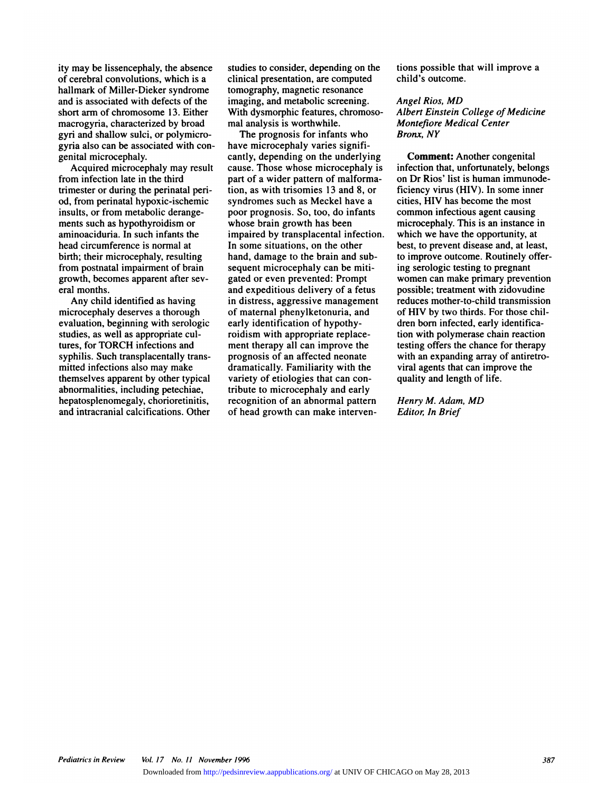ity may be lissencephaly, the absence<br>of cerebral convolutions, which is a ity may be lissencephaly, the absence<br>of cerebral convolutions, which is a<br>hallmark of Miller-Dieker syndrome ity may be lissencephaly, the absence<br>of cerebral convolutions, which is a<br>hallmark of Miller-Dieker syndrome<br>and is associated with defects of the ity may be lissencephaly, the absence<br>of cerebral convolutions, which is a<br>hallmark of Miller-Dieker syndrome<br>and is associated with defects of the<br>short arm of chromosome 13. Either of cerebral convolutions, which is a<br>hallmark of Miller-Dieker syndrome<br>and is associated with defects of the<br>short arm of chromosome 13. Either<br>macrogyria, characterized by broad gyri and shallow sulci, or polymicrohallmark of Miller-Dieker syndro<br>and is associated with defects of<br>short arm of chromosome 13. Eit<br>macrogyria, characterized by bro<br>gyri and shallow sulci, or polymi<br>gyria also can be associated with and is associated with defects of the<br>short arm of chromosome 13. Either<br>macrogyria, characterized by broad<br>gyri and shallow sulci, or polymicro-<br>gyria also can be associated with con-<br>genital microcephaly. short arm of chromo<br>macrogyria, charact<br>gyri and shallow sul<br>gyria also can be ass<br>genital microcephal<br>Acquired microc crogyria, characterized by broad<br>
ri and shallow sulci, or polymicro-<br>
ria also can be associated with con-<br>
intal microcephaly.<br>
Acquired microcephaly may result<br>
m infection late in the third

gyri and shallow sulci, or polymicrol<br>gyria also can be associated with co<br>genital microcephaly.<br>Acquired microcephaly may resu<br>from infection late in the third<br>trimester or during the perinatal per genital microcephaly.<br>Acquired microcephaly may result<br>from infection late in the third<br>trimester or during the perinatal peri-<br>od. from perinatal hypoxic-ischemic penital microcephaly.<br>Acquired microcephaly may resu<br>from infection late in the third<br>trimester or during the perinatal peri<br>od, from perinatal hypoxic-ischemic<br>insults, or from metabolic derange-Acquired microcephaly may<br>from infection late in the third<br>trimester or during the perinatal<br>od, from perinatal hypoxic-ische<br>insults, or from metabolic deran<br>ments such as hypothyroidism o from infection late in the third<br>trimester or during the perinatal peri-<br>od, from perinatal hypoxic-ischemic<br>insults, or from metabolic derange-<br>ments such as hypothyroidism or<br>aminoaciduria. In such infants the trimester or during the perinatal peri-<br>od, from perinatal hypoxic-ischemic<br>insults, or from metabolic derange-<br>ments such as hypothyroidism or<br>aminoaciduria. In such infants the<br>head circumference is normal at od, from perinatal hypoxic-ischemic<br>insults, or from metabolic derange-<br>ments such as hypothyroidism or<br>aminoaciduria. In such infants the<br>head circumference is normal at<br>birth; their microcephaly, resulting ments such as hypothyroidism or<br>aminoaciduria. In such infants the<br>head circumference is normal at<br>birth; their microcephaly, resulting<br>from postnatal impairment of brain ments such as hypothyroidism or<br>aminoaciduria. In such infants the<br>head circumference is normal at<br>birth; their microcephaly, resulting<br>from postnatal impairment of brain<br>growth, becomes apparent after sevaminoaciduria. In such infants the<br>head circumference is normal at<br>birth; their microcephaly, resulting<br>from postnatal impairment of brain<br>growth, becomes apparent after sev-<br>eral months. head circumf<br>birth; their m<br>from postnat:<br>growth, beco<br>eral months.<br>Any child th; their microcephaly, resulting<br>m postnatal impairment of brain<br>wwth, becomes apparent after sev-<br>l months.<br>Any child identified as having<br>crocephaly deserves a thorough

from postnatal impairment of brain<br>growth, becomes apparent after sev-<br>eral months.<br>Any child identified as having<br>microcephaly deserves a thorough<br>evaluation, beginning with serologic growth, becomes apparent after sev-<br>eral months.<br>Any child identified as having<br>microcephaly deserves a thorough<br>evaluation, beginning with serologic<br>studies, as well as appropriate culeral months.<br>Any child identified as having<br>microcephaly deserves a thorough<br>evaluation, beginning with serolog<br>studies, as well as appropriate cul-<br>tures, for TORCH infections and Any child identified as having<br>microcephaly deserves a thorough<br>evaluation, beginning with serologic<br>studies, as well as appropriate cul-<br>tures, for TORCH infections and<br>syphilis. Such transplacentally transmicrocephaly deserves a thorough<br>evaluation, beginning with serologi<br>studies, as well as appropriate cul-<br>tures, for TORCH infections and<br>syphilis. Such transplacentally tran<br>mitted infections also may make evaluation, beginning with serologic<br>studies, as well as appropriate cul-<br>tures, for TORCH infections and<br>syphilis. Such transplacentally trans-<br>mitted infections also may make<br>themselves apparent by other typical tures, for TORCH infections and<br>syphilis. Such transplacentally trans-<br>mitted infections also may make<br>themselves apparent by other typical<br>abnormalities, including petechiae, tures, for TORCH infections and<br>syphilis. Such transplacentally tran<br>mitted infections also may make<br>themselves apparent by other typic<br>abnormalities, including petechiae,<br>hepatosplenomegaly, chorioretiniti mitted infections also may make<br>themselves apparent by other typical<br>abnormalities, including petechiae,<br>hepatosplenomegaly, chorioretinitis,<br>and intracranial calcifications. Other

studies to consider, depending on the<br>clinical presentation, are computed c studies to consider, depending on the<br>clinical presentation, are computed<br>tomography, magnetic resonance<br>imaging, and metabolic screening. studies to consider, depending on<br>clinical presentation, are compute<br>tomography, magnetic resonance<br>imaging, and metabolic screening.<br>With dysmorphic features, chromo studies to consider, depending on<br>clinical presentation, are compute<br>tomography, magnetic resonance<br>imaging, and metabolic screening.<br>With dysmorphic features, chromo<br>mal analysis is worthwhile. clinical presentation, are comography, magnetic resolutionally signal metabolic scientist<br>imaging, and metabolic scientist<br>With dysmorphic features,<br>mal analysis is worthwhile<br>The prognosis for infat mography, magnetic resonance<br>aging, and metabolic screening.<br>th dysmorphic features, chromoso-<br>l analysis is worthwhile.<br>The prognosis for infants who<br>we microcephaly varies signifi-

imaging, and metabolic screenii<br>With dysmorphic features, chro<br>mal analysis is worthwhile.<br>The prognosis for infants w<br>have microcephaly varies sign<br>cantly, depending on the under With dysmorphic features, chromosomal analysis is worthwhile.<br>The prognosis for infants who<br>have microcephaly varies signifi-<br>cantly, depending on the underlying<br>cause. Those whose microcephaly is mal analysis is worthwhile. M<br>The prognosis for infants who<br>have microcephaly varies signifi-<br>cantly, depending on the underlying<br>cause. Those whose microcephaly is<br>part of a wider pattern of malforma-The prognosis for infants who<br>have microcephaly varies signif<br>cantly, depending on the underly<br>cause. Those whose microcepha<br>part of a wider pattern of malfor<br>tion, as with trisomies 13 and 8, have microcephaly varies signifi-<br>cantly, depending on the underlying<br>cause. Those whose microcephaly is<br>part of a wider pattern of malforma-<br>tion, as with trisomies 13 and 8, or<br>syndromes such as Meckel have a cantly, depending on the underlying<br>cause. Those whose microcephaly is<br>part of a wider pattern of malforma-<br>tion, as with trisomies 13 and 8, or<br>syndromes such as Meckel have a<br>poor prognosis. So, too, do infants part of a wider pattern of malforma-<br>tion, as with trisomies 13 and 8, or<br>syndromes such as Meckel have a<br>poor prognosis. So, too, do infants<br>whose brain growth has been part of a wider pattern of malform<br>tion, as with trisomies 13 and 8, or<br>syndromes such as Meckel have a<br>poor prognosis. So, too, do infants<br>whose brain growth has been<br>impaired by transplacental infection ition, as with trisomies 13 and 8, or<br>syndromes such as Meckel have a<br>poor prognosis. So, too, do infants<br>whose brain growth has been<br>impaired by transplacental infection.<br>In some situations, on the other syndromes such as Meckel have a<br>poor prognosis. So, too, do infants<br>whose brain growth has been<br>impaired by transplacental infection<br>In some situations, on the other<br>hand, damage to the brain and sub poor prognosis. So, too, do infants<br>whose brain growth has been<br>impaired by transplacental infectio<br>In some situations, on the other<br>hand, damage to the brain and sub-<br>sequent microcephaly can be mitiwhose brain growth has been<br>impaired by transplacental infecti<br>In some situations, on the other<br>hand, damage to the brain and sul<br>sequent microcephaly can be miti<br>gated or even prevented: Prompt impaired by transplacental infecti<br>In some situations, on the other<br>hand, damage to the brain and sul<br>sequent microcephaly can be miti<br>gated or even prevented: Prompt<br>and expeditious delivery of a fetu In some situations, on the other<br>hand, damage to the brain and sub-<br>sequent microcephaly can be miti-<br>gated or even prevented: Prompt<br>and expeditious delivery of a fetus<br>in distress, aggressive management hand, damage to the brain and sub<br>sequent microcephaly can be miti-<br>gated or even prevented: Prompt<br>and expeditious delivery of a fetus<br>in distress, aggressive managemen<br>of maternal phenylketonuria, and sequent microcephaly can be miti-<br>gated or even prevented: Prompt<br>and expeditious delivery of a fetus<br>in distress, aggressive management<br>of maternal phenylketonuria, and<br>early identification of hypothyand expeditious delivery of a fetus<br>in distress, aggressive management<br>of maternal phenylketonuria, and<br>early identification of hypothyand expeditious delivery of a f<br>in distress, aggressive manage<br>of maternal phenylketonuria, a<br>early identification of hypothy<br>roidism with appropriate repla<br>ment therapy all can improve t in distress, aggressive management<br>of maternal phenylketonuria, and<br>early identification of hypothy-<br>roidism with appropriate replace-<br>ment therapy all can improve the<br>prognosis of an affected neonate of maternal phenylketonuria, and<br>early identification of hypothy-<br>roidism with appropriate replace-<br>ment therapy all can improve the<br>prognosis of an affected neonate<br>dramatically. Familiarity with the early identification of hypothy-<br>roidism with appropriate replace-<br>ment therapy all can improve the<br>prognosis of an affected neonate<br>dramatically. Familiarity with the<br>variety of etiologies that can conment therapy all can improve the<br>prognosis of an affected neonate<br>dramatically. Familiarity with the<br>variety of etiologies that can con-<br>tribute to microcephaly and early recognition of an abnormal pattern prognosis of an affected neonate<br>dramatically. Familiarity with the<br>variety of etiologies that can con-<br>tribute to microcephaly and early<br>recognition of an abnormal pattern<br>of head growth can make intervendramatically. Familiarity with t<br>variety of etiologies that can co<br>tribute to microcephaly and ear<br>recognition of an abnormal patt<br>of head growth can make interv

tions possible that will improve a<br>child's outcome. child's outcome.<br>Angel Rios, MD

## *Angel Riossible that will i*<br>*Angel Rios, MD***<br>***Albert Einstein College d Albert Einstein College of Medicine*<br>*Angel Rios, MD<br>Albert Einstein College of Medicine<br>Montefiore Medical Center* **child's outcome.<br>Angel Rios, MD<br>Albert Einstein College of Med<br>Montefiore Medical Center<br>Bronx, NY** Angel Rios, MD<br>Albert Einstein C<br>Montefiore Media<br>Bronx, NY **Comment:** Another College of Medicine<br>
September Conter Conter Conter Conter Content Content Content Content Content<br> **Comment:** Another congenital<br> **Comment:** Another congenital<br> **Comment:** Another congenital

*Montefiore Medical Center<br>Bronx, NY*<br>**Comment:** Another congenital<br>infection that, unfortunately, belongs<br>on Dr Rios' list is human immunode-**Bronx, NY**<br>Comment: Another congenita<br>infection that, unfortunately, belo<br>on Dr Rios' list is human immun<br>ficiency virus (HIV). In some int **Comment:** Another congenital<br>infection that, unfortunately, belongs<br>on Dr Rios' list is human immunode-<br>ficiency virus (HIV). In some inner<br>cities, HIV has become the most **Comment:** Another congenital<br>infection that, unfortunately, belong<br>on Dr Rios' list is human immunod<br>ficiency virus (HIV). In some inner<br>cities, HIV has become the most<br>common infectious agent causing on Dr Rios' list is human immunode-<br>ficiency virus (HIV). In some inner<br>cities, HIV has become the most<br>common infectious agent causing on Dr Rios' list is human immunode-<br>ficiency virus (HIV). In some inner<br>cities, HIV has become the most<br>common infectious agent causing<br>microcephaly. This is an instance in<br>which we have the opportunity, at ficiency virus (HIV). In some inner<br>cities, HIV has become the most<br>common infectious agent causing<br>microcephaly. This is an instance in<br>which we have the opportunity, at<br>best, to prevent disease and, at least, cities, HIV has become the most<br>common infectious agent causing<br>microcephaly. This is an instance in<br>which we have the opportunity, at<br>best, to prevent disease and, at least,<br>to improve outcome. Routinely offercommon infectious agent causing<br>microcephaly. This is an instance in<br>which we have the opportunity, at<br>best, to prevent disease and, at least<br>to improve outcome. Routinely offe<br>ing serologic testing to pregnant which we have the opportunity, at<br>best, to prevent disease and, at least,<br>to improve outcome. Routinely offer-<br>ing serologic testing to pregnant which we have the opportunity, at<br>best, to prevent disease and, at least,<br>to improve outcome. Routinely offer-<br>ing serologic testing to pregnant<br>women can make primary prevention<br>possible; treatment with zidovudine best, to prevent disease and, at least,<br>to improve outcome. Routinely offer-<br>ing serologic testing to pregnant<br>women can make primary prevention<br>possible; treatment with zidovudine<br>reduces mother-to-child transmission to improve outcome. Routinely offer-<br>ing serologic testing to pregnant<br>women can make primary prevention<br>possible; treatment with zidovudine<br>reduces mother-to-child transmission<br>of HIV by two thirds. For those chiling serologic testing to pregnant<br>women can make primary preventio<br>possible; treatment with zidovudine<br>reduces mother-to-child transmissio<br>of HIV by two thirds. For those chil-<br>dren born infected, early identificapossible; treatment with zidovudine<br>reduces mother-to-child transmission<br>of HIV by two thirds. For those chil-<br>dren born infected, early identificapossible; treatment with zidovudine<br>reduces mother-to-child transmission<br>of HIV by two thirds. For those chil-<br>dren born infected, early identifica-<br>tion with polymerase chain reaction<br>testing offers the chance for therapy reduces mother-to-child transmission<br>of HIV by two thirds. For those chil-<br>dren born infected, early identifica-<br>tion with polymerase chain reaction<br>testing offers the chance for therapy<br>with an expanding array of antiretr tion with polymerase chain reaction dren born infected, early identifica-<br>tion with polymerase chain reaction<br>testing offers the chance for therapy<br>with an expanding array of antiretro-<br>viral agents that can improve the<br>quality and length of life. tion with polymerase chain<br>testing offers the chance for<br>with an expanding array of<br>viral agents that can improv<br>quality and length of life. *Henry M. Adam, MD*<br>*Henry M. Adam, MD*<br>*Henry M. Adam, MD*<br>*Editor, In Brief* quality and length of life.